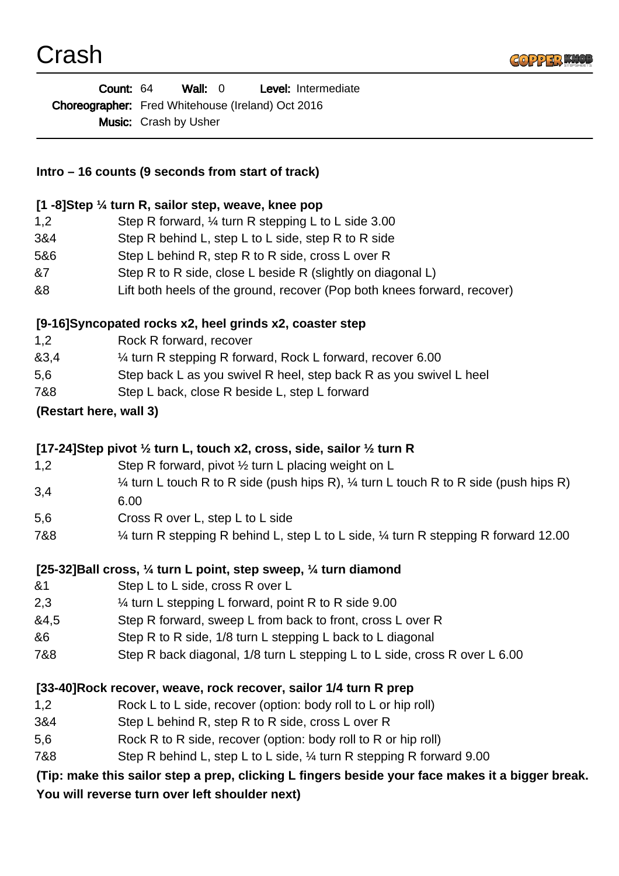

| <b>Count: 64</b> |                                                          | Wall: 0                      |  |  | <b>Level:</b> Intermediate |
|------------------|----------------------------------------------------------|------------------------------|--|--|----------------------------|
|                  | <b>Choreographer:</b> Fred Whitehouse (Ireland) Oct 2016 |                              |  |  |                            |
|                  |                                                          | <b>Music:</b> Crash by Usher |  |  |                            |

## **Intro – 16 counts (9 seconds from start of track)**

#### **[1 -8]Step ¼ turn R, sailor step, weave, knee pop**

| 1.2 | Step R forward, 1/4 turn R stepping L to L side 3.00        |
|-----|-------------------------------------------------------------|
| 3&4 | Step R behind L, step L to L side, step R to R side         |
| 5&6 | Step L behind R, step R to R side, cross L over R           |
| &7  | Step R to R side, close L beside R (slightly on diagonal L) |

&8 Lift both heels of the ground, recover (Pop both knees forward, recover)

### **[9-16]Syncopated rocks x2, heel grinds x2, coaster step**

- 1,2 Rock R forward, recover
- &3,4 ¼ turn R stepping R forward, Rock L forward, recover 6.00
- 5,6 Step back L as you swivel R heel, step back R as you swivel L heel
- 7&8 Step L back, close R beside L, step L forward

### **(Restart here, wall 3)**

## **[17-24]Step pivot ½ turn L, touch x2, cross, side, sailor ½ turn R**

- 1,2 Step R forward, pivot ½ turn L placing weight on L
- 3,4  $\frac{1}{4}$  turn L touch R to R side (push hips R),  $\frac{1}{4}$  turn L touch R to R side (push hips R) 6.00
- 5,6 Cross R over L, step L to L side
- 7&8 ¼ turn R stepping R behind L, step L to L side, ¼ turn R stepping R forward 12.00

## **[25-32]Ball cross, ¼ turn L point, step sweep, ¼ turn diamond**

- &1 Step L to L side, cross R over L
- 2,3 ¼ turn L stepping L forward, point R to R side 9.00
- &4,5 Step R forward, sweep L from back to front, cross L over R
- &6 Step R to R side, 1/8 turn L stepping L back to L diagonal
- 7&8 Step R back diagonal, 1/8 turn L stepping L to L side, cross R over L 6.00

#### **[33-40]Rock recover, weave, rock recover, sailor 1/4 turn R prep**

- 1,2 Rock L to L side, recover (option: body roll to L or hip roll)
- 3&4 Step L behind R, step R to R side, cross L over R
- 5,6 Rock R to R side, recover (option: body roll to R or hip roll)
- 7&8 Step R behind L, step L to L side, ¼ turn R stepping R forward 9.00

## **(Tip: make this sailor step a prep, clicking L fingers beside your face makes it a bigger break. You will reverse turn over left shoulder next)**